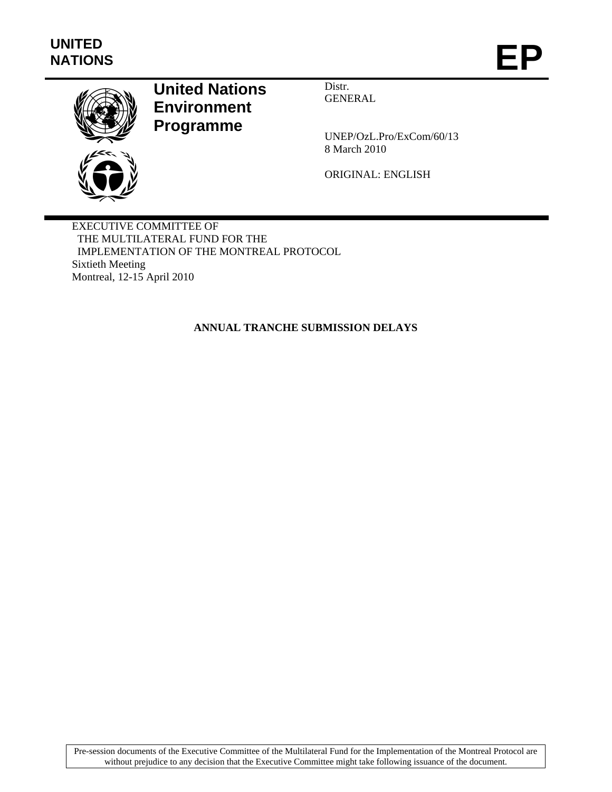

# **United Nations Environment Programme**

Distr. GENERAL

UNEP/OzL.Pro/ExCom/60/13 8 March 2010

ORIGINAL: ENGLISH

EXECUTIVE COMMITTEE OF THE MULTILATERAL FUND FOR THE IMPLEMENTATION OF THE MONTREAL PROTOCOL Sixtieth Meeting Montreal, 12-15 April 2010

**ANNUAL TRANCHE SUBMISSION DELAYS** 

Pre-session documents of the Executive Committee of the Multilateral Fund for the Implementation of the Montreal Protocol are without prejudice to any decision that the Executive Committee might take following issuance of the document.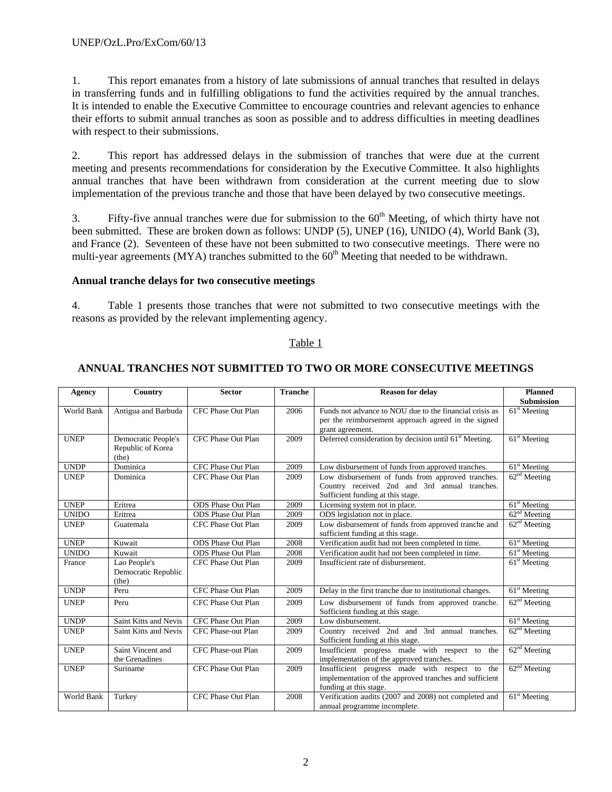1. This report emanates from a history of late submissions of annual tranches that resulted in delays in transferring funds and in fulfilling obligations to fund the activities required by the annual tranches. It is intended to enable the Executive Committee to encourage countries and relevant agencies to enhance their efforts to submit annual tranches as soon as possible and to address difficulties in meeting deadlines with respect to their submissions.

2. This report has addressed delays in the submission of tranches that were due at the current meeting and presents recommendations for consideration by the Executive Committee. It also highlights annual tranches that have been withdrawn from consideration at the current meeting due to slow implementation of the previous tranche and those that have been delayed by two consecutive meetings.

3. Fifty-five annual tranches were due for submission to the  $60<sup>th</sup>$  Meeting, of which thirty have not been submitted. These are broken down as follows: UNDP (5), UNEP (16), UNIDO (4), World Bank (3), and France (2). Seventeen of these have not been submitted to two consecutive meetings. There were no multi-year agreements (MYA) tranches submitted to the  $60<sup>th</sup>$  Meeting that needed to be withdrawn.

## **Annual tranche delays for two consecutive meetings**

4. Table 1 presents those tranches that were not submitted to two consecutive meetings with the reasons as provided by the relevant implementing agency.

## Table 1

| Agency       | Country                                                  | <b>Sector</b>             | <b>Tranche</b> | <b>Reason for delay</b>                                                                                                                 | <b>Planned</b><br><b>Submission</b> |
|--------------|----------------------------------------------------------|---------------------------|----------------|-----------------------------------------------------------------------------------------------------------------------------------------|-------------------------------------|
| World Bank   | Antigua and Barbuda                                      | CFC Phase Out Plan        | 2006           | Funds not advance to NOU due to the financial crisis as<br>per the reimbursement approach agreed in the signed<br>grant agreement.      | $61st$ Meeting                      |
| <b>UNEP</b>  | <b>Democratic People's</b><br>Republic of Korea<br>(the) | CFC Phase Out Plan        | 2009           | Deferred consideration by decision until 61 <sup>st</sup> Meeting.                                                                      | $61st$ Meeting                      |
| <b>UNDP</b>  | Dominica                                                 | CFC Phase Out Plan        | 2009           | Low disbursement of funds from approved tranches.                                                                                       | $61st$ Meeting                      |
| <b>UNEP</b>  | Dominica                                                 | CFC Phase Out Plan        | 2009           | Low disbursement of funds from approved tranches.<br>Country received 2nd and 3rd annual tranches.<br>Sufficient funding at this stage. | 62 <sup>nd</sup> Meeting            |
| <b>UNEP</b>  | Eritrea                                                  | <b>ODS</b> Phase Out Plan | 2009           | Licensing system not in place.                                                                                                          | $61st$ Meeting                      |
| <b>UNIDO</b> | Eritrea                                                  | <b>ODS</b> Phase Out Plan | 2009           | ODS legislation not in place.                                                                                                           | 62 <sup>nd</sup> Meeting            |
| <b>UNEP</b>  | Guatemala                                                | CFC Phase Out Plan        | 2009           | Low disbursement of funds from approved tranche and<br>sufficient funding at this stage.                                                | $62nd$ Meeting                      |
| <b>UNEP</b>  | Kuwait                                                   | <b>ODS</b> Phase Out Plan | 2008           | Verification audit had not been completed in time.                                                                                      | $61st$ Meeting                      |
| <b>UNIDO</b> | Kuwait                                                   | <b>ODS</b> Phase Out Plan | 2008           | Verification audit had not been completed in time.                                                                                      | $61st$ Meeting                      |
| France       | Lao People's<br>Democratic Republic<br>(the)             | CFC Phase Out Plan        | 2009           | Insufficient rate of disbursement.                                                                                                      | $61st$ Meeting                      |
| <b>UNDP</b>  | Peru                                                     | CFC Phase Out Plan        | 2009           | Delay in the first tranche due to institutional changes.                                                                                | $61st$ Meeting                      |
| <b>UNEP</b>  | Peru                                                     | CFC Phase Out Plan        | 2009           | Low disbursement of funds from approved tranche.<br>Sufficient funding at this stage.                                                   | 62 <sup>nd</sup> Meeting            |
| <b>UNDP</b>  | Saint Kitts and Nevis                                    | CFC Phase Out Plan        | 2009           | Low disbursement.                                                                                                                       | $61st$ Meeting                      |
| <b>UNEP</b>  | Saint Kitts and Nevis                                    | CFC Phase-out Plan        | 2009           | Country received 2nd and 3rd annual tranches.<br>Sufficient funding at this stage.                                                      | 62 <sup>nd</sup> Meeting            |
| <b>UNEP</b>  | Saint Vincent and<br>the Grenadines                      | CFC Phase-out Plan        | 2009           | Insufficient progress made with respect to the<br>implementation of the approved tranches.                                              | 62 <sup>nd</sup> Meeting            |
| <b>UNEP</b>  | Suriname                                                 | CFC Phase Out Plan        | 2009           | Insufficient progress made with respect to the<br>implementation of the approved tranches and sufficient<br>funding at this stage.      | 62 <sup>nd</sup> Meeting            |
| World Bank   | Turkey                                                   | CFC Phase Out Plan        | 2008           | Verification audits (2007 and 2008) not completed and<br>annual programme incomplete.                                                   | $61st$ Meeting                      |

# **ANNUAL TRANCHES NOT SUBMITTED TO TWO OR MORE CONSECUTIVE MEETINGS**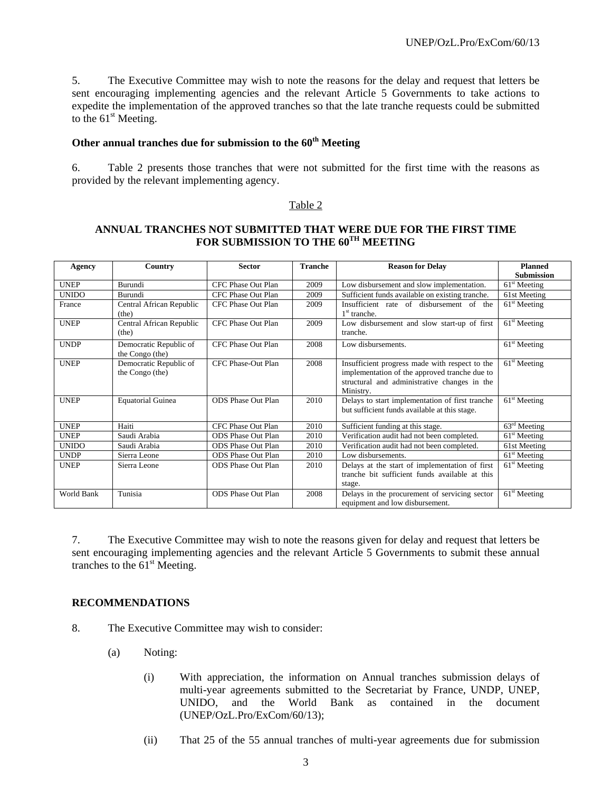5. The Executive Committee may wish to note the reasons for the delay and request that letters be sent encouraging implementing agencies and the relevant Article 5 Governments to take actions to expedite the implementation of the approved tranches so that the late tranche requests could be submitted to the  $61<sup>st</sup>$  Meeting.

# **Other annual tranches due for submission to the 60th Meeting**

6. Table 2 presents those tranches that were not submitted for the first time with the reasons as provided by the relevant implementing agency.

#### Table 2

# **ANNUAL TRANCHES NOT SUBMITTED THAT WERE DUE FOR THE FIRST TIME**  FOR SUBMISSION TO THE 60<sup>TH</sup> MEETING

| Agency       | Country                                   | <b>Sector</b>             | <b>Tranche</b> | <b>Reason for Delay</b>                                                                                                                                      | <b>Planned</b>                        |
|--------------|-------------------------------------------|---------------------------|----------------|--------------------------------------------------------------------------------------------------------------------------------------------------------------|---------------------------------------|
|              |                                           |                           |                |                                                                                                                                                              | <b>Submission</b>                     |
| <b>UNEP</b>  | Burundi                                   | CFC Phase Out Plan        | 2009           | Low disbursement and slow implementation.                                                                                                                    | $61st$ Meeting                        |
| <b>UNIDO</b> | Burundi                                   | CFC Phase Out Plan        | 2009           | Sufficient funds available on existing tranche.                                                                                                              | 61st Meeting                          |
| France       | Central African Republic<br>(the)         | CFC Phase Out Plan        | 2009           | Insufficient rate of disbursement of the<br>$1st$ tranche.                                                                                                   | $61st$ Meeting                        |
| <b>UNEP</b>  | Central African Republic<br>(the)         | CFC Phase Out Plan        | 2009           | Low disbursement and slow start-up of first<br>tranche.                                                                                                      | $61st$ Meeting                        |
| <b>UNDP</b>  | Democratic Republic of<br>the Congo (the) | CFC Phase Out Plan        | 2008           | Low disbursements.                                                                                                                                           | $61st$ Meeting                        |
| <b>UNEP</b>  | Democratic Republic of<br>the Congo (the) | CFC Phase-Out Plan        | 2008           | Insufficient progress made with respect to the<br>implementation of the approved tranche due to<br>structural and administrative changes in the<br>Ministry. | $61st$ Meeting                        |
| <b>UNEP</b>  | <b>Equatorial Guinea</b>                  | <b>ODS</b> Phase Out Plan | 2010           | Delays to start implementation of first tranche<br>but sufficient funds available at this stage.                                                             | $61st$ Meeting                        |
| <b>UNEP</b>  | Haiti                                     | CFC Phase Out Plan        | 2010           | Sufficient funding at this stage.                                                                                                                            | $63rd$ Meeting                        |
| <b>UNEP</b>  | Saudi Arabia                              | <b>ODS</b> Phase Out Plan | 2010           | Verification audit had not been completed.                                                                                                                   | $61st$ Meeting                        |
| <b>UNIDO</b> | Saudi Arabia                              | <b>ODS</b> Phase Out Plan | 2010           | Verification audit had not been completed.                                                                                                                   | 61st Meeting                          |
| <b>UNDP</b>  | Sierra Leone                              | <b>ODS</b> Phase Out Plan | 2010           | Low disbursements.                                                                                                                                           | $\overline{61}$ <sup>st</sup> Meeting |
| <b>UNEP</b>  | Sierra Leone                              | <b>ODS</b> Phase Out Plan | 2010           | Delays at the start of implementation of first<br>tranche bit sufficient funds available at this<br>stage.                                                   | $61st$ Meeting                        |
| World Bank   | Tunisia                                   | <b>ODS</b> Phase Out Plan | 2008           | Delays in the procurement of servicing sector<br>equipment and low disbursement.                                                                             | $61st$ Meeting                        |

7. The Executive Committee may wish to note the reasons given for delay and request that letters be sent encouraging implementing agencies and the relevant Article 5 Governments to submit these annual tranches to the  $61<sup>st</sup>$  Meeting.

#### **RECOMMENDATIONS**

- 8. The Executive Committee may wish to consider:
	- (a) Noting:
		- (i) With appreciation, the information on Annual tranches submission delays of multi-year agreements submitted to the Secretariat by France, UNDP, UNEP, UNIDO, and the World Bank as contained in the document (UNEP/OzL.Pro/ExCom/60/13);
		- (ii) That 25 of the 55 annual tranches of multi-year agreements due for submission